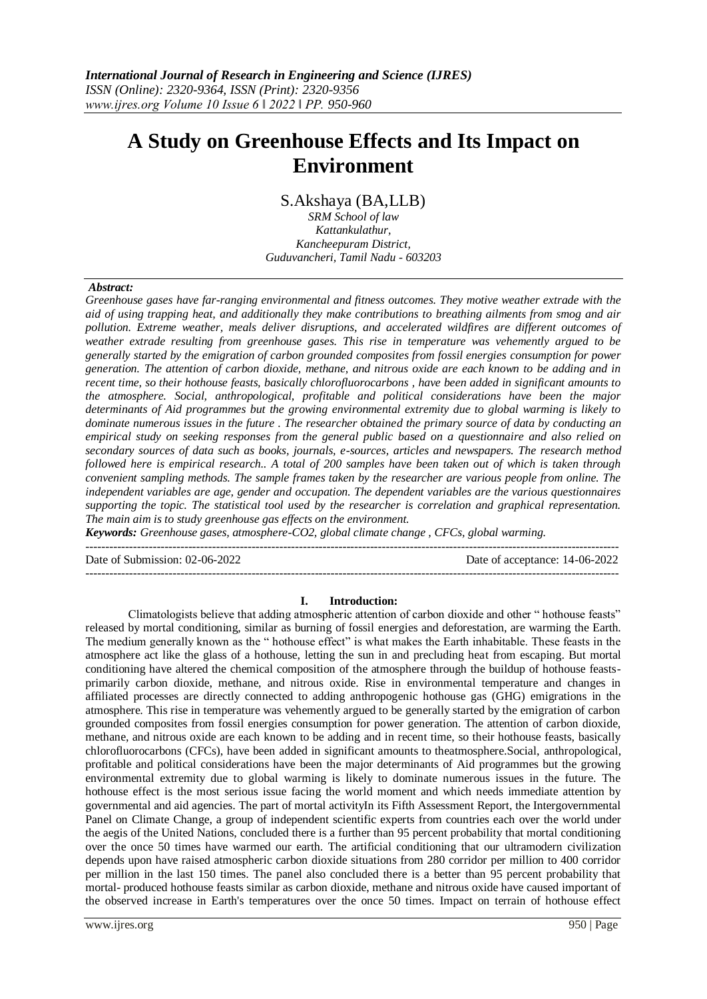# **A Study on Greenhouse Effects and Its Impact on Environment**

S.Akshaya (BA,LLB)

*SRM School of law Kattankulathur, Kancheepuram District, Guduvancheri, Tamil Nadu - 603203*

#### *Abstract:*

*Greenhouse gases have far-ranging environmental and fitness outcomes. They motive weather extrade with the aid of using trapping heat, and additionally they make contributions to breathing ailments from smog and air pollution. Extreme weather, meals deliver disruptions, and accelerated wildfires are different outcomes of weather extrade resulting from greenhouse gases. This rise in temperature was vehemently argued to be generally started by the emigration of carbon grounded composites from fossil energies consumption for power generation. The attention of carbon dioxide, methane, and nitrous oxide are each known to be adding and in recent time, so their hothouse feasts, basically chlorofluorocarbons , have been added in significant amounts to the atmosphere. Social, anthropological, profitable and political considerations have been the major determinants of Aid programmes but the growing environmental extremity due to global warming is likely to dominate numerous issues in the future . The researcher obtained the primary source of data by conducting an empirical study on seeking responses from the general public based on a questionnaire and also relied on secondary sources of data such as books, journals, e-sources, articles and newspapers. The research method followed here is empirical research.. A total of 200 samples have been taken out of which is taken through convenient sampling methods. The sample frames taken by the researcher are various people from online. The independent variables are age, gender and occupation. The dependent variables are the various questionnaires supporting the topic. The statistical tool used by the researcher is correlation and graphical representation. The main aim is to study greenhouse gas effects on the environment.* 

*Keywords: Greenhouse gases, atmosphere-CO2, global climate change , CFCs, global warming.* ---------------------------------------------------------------------------------------------------------------------------------------

Date of Submission: 02-06-2022 Date of acceptance: 14-06-2022

#### **I. Introduction:**

---------------------------------------------------------------------------------------------------------------------------------------

Climatologists believe that adding atmospheric attention of carbon dioxide and other " hothouse feasts" released by mortal conditioning, similar as burning of fossil energies and deforestation, are warming the Earth. The medium generally known as the " hothouse effect" is what makes the Earth inhabitable. These feasts in the atmosphere act like the glass of a hothouse, letting the sun in and precluding heat from escaping. But mortal conditioning have altered the chemical composition of the atmosphere through the buildup of hothouse feastsprimarily carbon dioxide, methane, and nitrous oxide. Rise in environmental temperature and changes in affiliated processes are directly connected to adding anthropogenic hothouse gas (GHG) emigrations in the atmosphere. This rise in temperature was vehemently argued to be generally started by the emigration of carbon grounded composites from fossil energies consumption for power generation. The attention of carbon dioxide, methane, and nitrous oxide are each known to be adding and in recent time, so their hothouse feasts, basically chlorofluorocarbons (CFCs), have been added in significant amounts to theatmosphere.Social, anthropological, profitable and political considerations have been the major determinants of Aid programmes but the growing environmental extremity due to global warming is likely to dominate numerous issues in the future. The hothouse effect is the most serious issue facing the world moment and which needs immediate attention by governmental and aid agencies. The part of mortal activityIn its Fifth Assessment Report, the Intergovernmental Panel on Climate Change, a group of independent scientific experts from countries each over the world under the aegis of the United Nations, concluded there is a further than 95 percent probability that mortal conditioning over the once 50 times have warmed our earth. The artificial conditioning that our ultramodern civilization depends upon have raised atmospheric carbon dioxide situations from 280 corridor per million to 400 corridor per million in the last 150 times. The panel also concluded there is a better than 95 percent probability that mortal- produced hothouse feasts similar as carbon dioxide, methane and nitrous oxide have caused important of the observed increase in Earth's temperatures over the once 50 times. Impact on terrain of hothouse effect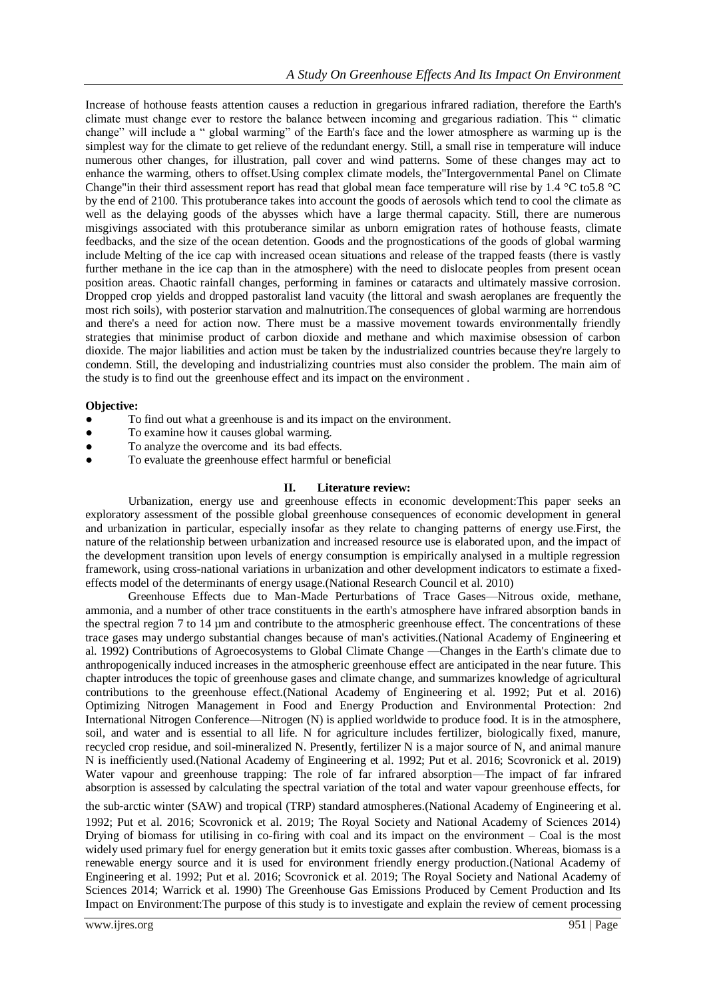Increase of hothouse feasts attention causes a reduction in gregarious infrared radiation, therefore the Earth's climate must change ever to restore the balance between incoming and gregarious radiation. This " climatic change" will include a " global warming" of the Earth's face and the lower atmosphere as warming up is the simplest way for the climate to get relieve of the redundant energy. Still, a small rise in temperature will induce numerous other changes, for illustration, pall cover and wind patterns. Some of these changes may act to enhance the warming, others to offset.Using complex climate models, the"Intergovernmental Panel on Climate Change"in their third assessment report has read that global mean face temperature will rise by 1.4 °C to5.8 °C by the end of 2100. This protuberance takes into account the goods of aerosols which tend to cool the climate as well as the delaying goods of the abysses which have a large thermal capacity. Still, there are numerous misgivings associated with this protuberance similar as unborn emigration rates of hothouse feasts, climate feedbacks, and the size of the ocean detention. Goods and the prognostications of the goods of global warming include Melting of the ice cap with increased ocean situations and release of the trapped feasts (there is vastly further methane in the ice cap than in the atmosphere) with the need to dislocate peoples from present ocean position areas. Chaotic rainfall changes, performing in famines or cataracts and ultimately massive corrosion. Dropped crop yields and dropped pastoralist land vacuity (the littoral and swash aeroplanes are frequently the most rich soils), with posterior starvation and malnutrition.The consequences of global warming are horrendous and there's a need for action now. There must be a massive movement towards environmentally friendly strategies that minimise product of carbon dioxide and methane and which maximise obsession of carbon dioxide. The major liabilities and action must be taken by the industrialized countries because they're largely to condemn. Still, the developing and industrializing countries must also consider the problem. The main aim of the study is to find out the greenhouse effect and its impact on the environment .

## **Objective:**

- To find out what a greenhouse is and its impact on the environment.
- To examine how it causes global warming.
- To analyze the overcome and its bad effects.
- To evaluate the greenhouse effect harmful or beneficial

## **II. Literature review:**

Urbanization, energy use and greenhouse effects in economic development:This paper seeks an exploratory assessment of the possible global greenhouse consequences of economic development in general and urbanization in particular, especially insofar as they relate to changing patterns of energy use.First, the nature of the relationship between urbanization and increased resource use is elaborated upon, and the impact of the development transition upon levels of energy consumption is empirically analysed in a multiple regression framework, using cross-national variations in urbanization and other development indicators to estimate a fixedeffects model of the determinants of energy usage.(National Research Council et al. 2010)

Greenhouse Effects due to Man-Made Perturbations of Trace Gases—Nitrous oxide, methane, ammonia, and a number of other trace constituents in the earth's atmosphere have infrared absorption bands in the spectral region 7 to 14 µm and contribute to the atmospheric greenhouse effect. The concentrations of these trace gases may undergo substantial changes because of man's activities.(National Academy of Engineering et al. 1992) Contributions of Agroecosystems to Global Climate Change —Changes in the Earth's climate due to anthropogenically induced increases in the atmospheric greenhouse effect are anticipated in the near future. This chapter introduces the topic of greenhouse gases and climate change, and summarizes knowledge of agricultural contributions to the greenhouse effect.(National Academy of Engineering et al. 1992; Put et al. 2016) Optimizing Nitrogen Management in Food and Energy Production and Environmental Protection: 2nd International Nitrogen Conference—Nitrogen (N) is applied worldwide to produce food. It is in the atmosphere, soil, and water and is essential to all life. N for agriculture includes fertilizer, biologically fixed, manure, recycled crop residue, and soil-mineralized N. Presently, fertilizer N is a major source of N, and animal manure N is inefficiently used.(National Academy of Engineering et al. 1992; Put et al. 2016; Scovronick et al. 2019) Water vapour and greenhouse trapping: The role of far infrared absorption—The impact of far infrared absorption is assessed by calculating the spectral variation of the total and water vapour greenhouse effects, for

the sub-arctic winter (SAW) and tropical (TRP) standard atmospheres.(National Academy of Engineering et al. 1992; Put et al. 2016; Scovronick et al. 2019; The Royal Society and National Academy of Sciences 2014) Drying of biomass for utilising in co-firing with coal and its impact on the environment – Coal is the most widely used primary fuel for energy generation but it emits toxic gasses after combustion. Whereas, biomass is a renewable energy source and it is used for environment friendly energy production.(National Academy of Engineering et al. 1992; Put et al. 2016; Scovronick et al. 2019; The Royal Society and National Academy of Sciences 2014; Warrick et al. 1990) The Greenhouse Gas Emissions Produced by Cement Production and Its Impact on Environment:The purpose of this study is to investigate and explain the review of cement processing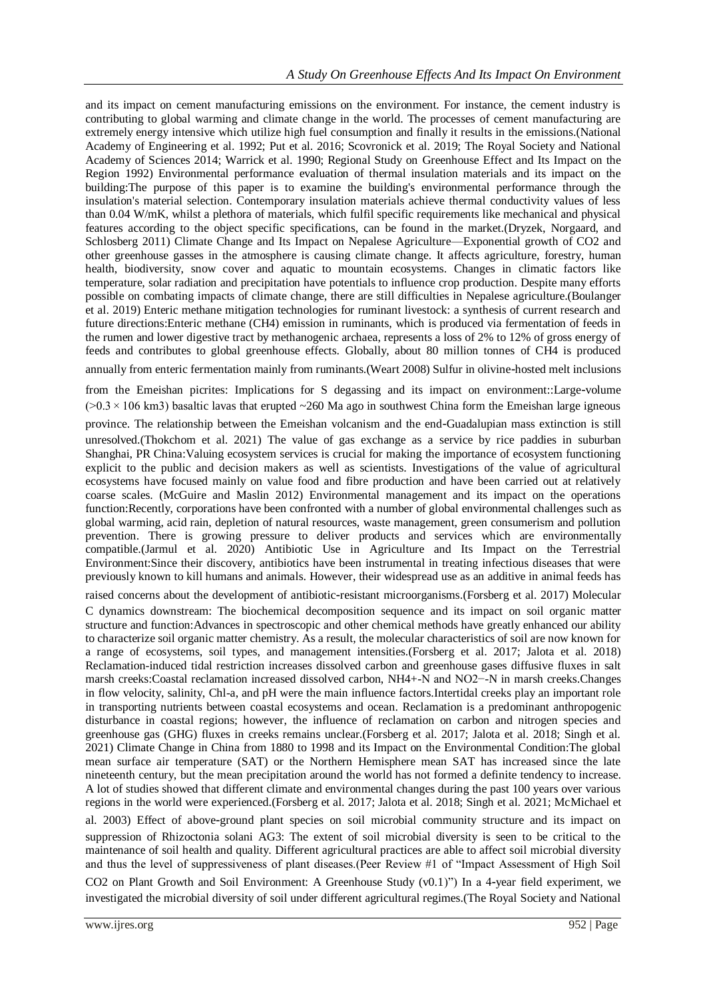and its impact on cement manufacturing emissions on the environment. For instance, the cement industry is contributing to global warming and climate change in the world. The processes of cement manufacturing are extremely energy intensive which utilize high fuel consumption and finally it results in the emissions.(National Academy of Engineering et al. 1992; Put et al. 2016; Scovronick et al. 2019; The Royal Society and National Academy of Sciences 2014; Warrick et al. 1990; Regional Study on Greenhouse Effect and Its Impact on the Region 1992) Environmental performance evaluation of thermal insulation materials and its impact on the building:The purpose of this paper is to examine the building's environmental performance through the insulation's material selection. Contemporary insulation materials achieve thermal conductivity values of less than 0.04 W/mK, whilst a plethora of materials, which fulfil specific requirements like mechanical and physical features according to the object specific specifications, can be found in the market.(Dryzek, Norgaard, and Schlosberg 2011) Climate Change and Its Impact on Nepalese Agriculture—Exponential growth of CO2 and other greenhouse gasses in the atmosphere is causing climate change. It affects agriculture, forestry, human health, biodiversity, snow cover and aquatic to mountain ecosystems. Changes in climatic factors like temperature, solar radiation and precipitation have potentials to influence crop production. Despite many efforts possible on combating impacts of climate change, there are still difficulties in Nepalese agriculture.(Boulanger et al. 2019) Enteric methane mitigation technologies for ruminant livestock: a synthesis of current research and future directions:Enteric methane (CH4) emission in ruminants, which is produced via fermentation of feeds in the rumen and lower digestive tract by methanogenic archaea, represents a loss of 2% to 12% of gross energy of feeds and contributes to global greenhouse effects. Globally, about 80 million tonnes of CH4 is produced annually from enteric fermentation mainly from ruminants.(Weart 2008) Sulfur in olivine‐hosted melt inclusions

from the Emeishan picrites: Implications for S degassing and its impact on environment::Large-volume  $(0.3 \times 106 \text{ km})$  basaltic lavas that erupted  $-260$  Ma ago in southwest China form the Emeishan large igneous

province. The relationship between the Emeishan volcanism and the end‐Guadalupian mass extinction is still unresolved.(Thokchom et al. 2021) The value of gas exchange as a service by rice paddies in suburban Shanghai, PR China:Valuing ecosystem services is crucial for making the importance of ecosystem functioning explicit to the public and decision makers as well as scientists. Investigations of the value of agricultural ecosystems have focused mainly on value food and fibre production and have been carried out at relatively coarse scales. (McGuire and Maslin 2012) Environmental management and its impact on the operations function:Recently, corporations have been confronted with a number of global environmental challenges such as global warming, acid rain, depletion of natural resources, waste management, green consumerism and pollution prevention. There is growing pressure to deliver products and services which are environmentally compatible.(Jarmul et al. 2020) Antibiotic Use in Agriculture and Its Impact on the Terrestrial Environment:Since their discovery, antibiotics have been instrumental in treating infectious diseases that were previously known to kill humans and animals. However, their widespread use as an additive in animal feeds has

raised concerns about the development of antibiotic‐resistant microorganisms.(Forsberg et al. 2017) Molecular

C dynamics downstream: The biochemical decomposition sequence and its impact on soil organic matter structure and function:Advances in spectroscopic and other chemical methods have greatly enhanced our ability to characterize soil organic matter chemistry. As a result, the molecular characteristics of soil are now known for a range of ecosystems, soil types, and management intensities.(Forsberg et al. 2017; Jalota et al. 2018) Reclamation-induced tidal restriction increases dissolved carbon and greenhouse gases diffusive fluxes in salt marsh creeks:Coastal reclamation increased dissolved carbon, NH4+-N and NO2−-N in marsh creeks.Changes in flow velocity, salinity, Chl-a, and pH were the main influence factors.Intertidal creeks play an important role in transporting nutrients between coastal ecosystems and ocean. Reclamation is a predominant anthropogenic disturbance in coastal regions; however, the influence of reclamation on carbon and nitrogen species and greenhouse gas (GHG) fluxes in creeks remains unclear.(Forsberg et al. 2017; Jalota et al. 2018; Singh et al. 2021) Climate Change in China from 1880 to 1998 and its Impact on the Environmental Condition:The global mean surface air temperature (SAT) or the Northern Hemisphere mean SAT has increased since the late nineteenth century, but the mean precipitation around the world has not formed a definite tendency to increase. A lot of studies showed that different climate and environmental changes during the past 100 years over various regions in the world were experienced.(Forsberg et al. 2017; Jalota et al. 2018; Singh et al. 2021; McMichael et

al. 2003) Effect of above‐ground plant species on soil microbial community structure and its impact on suppression of Rhizoctonia solani AG3: The extent of soil microbial diversity is seen to be critical to the maintenance of soil health and quality. Different agricultural practices are able to affect soil microbial diversity and thus the level of suppressiveness of plant diseases.(Peer Review #1 of "Impact Assessment of High Soil

CO2 on Plant Growth and Soil Environment: A Greenhouse Study (v0.1)") In a 4‐year field experiment, we investigated the microbial diversity of soil under different agricultural regimes.(The Royal Society and National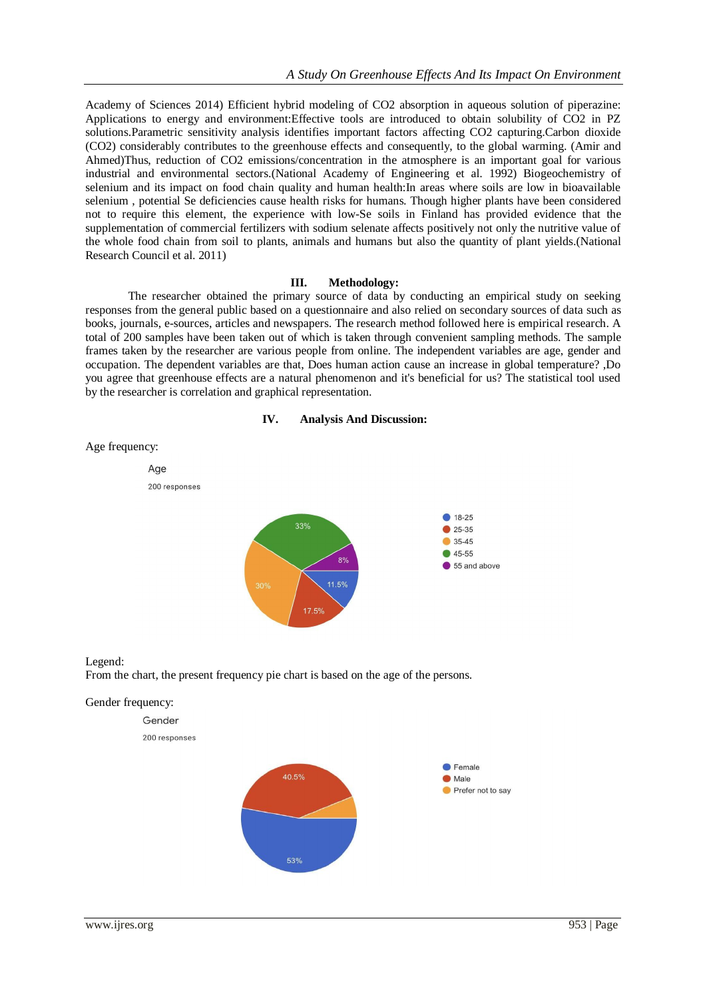Academy of Sciences 2014) Efficient hybrid modeling of CO2 absorption in aqueous solution of piperazine: Applications to energy and environment:Effective tools are introduced to obtain solubility of CO2 in PZ solutions.Parametric sensitivity analysis identifies important factors affecting CO2 capturing.Carbon dioxide (CO2) considerably contributes to the greenhouse effects and consequently, to the global warming. (Amir and Ahmed)Thus, reduction of CO2 emissions/concentration in the atmosphere is an important goal for various industrial and environmental sectors.(National Academy of Engineering et al. 1992) Biogeochemistry of selenium and its impact on food chain quality and human health:In areas where soils are low in bioavailable selenium , potential Se deficiencies cause health risks for humans. Though higher plants have been considered not to require this element, the experience with low-Se soils in Finland has provided evidence that the supplementation of commercial fertilizers with sodium selenate affects positively not only the nutritive value of the whole food chain from soil to plants, animals and humans but also the quantity of plant yields.(National Research Council et al. 2011)

#### **III. Methodology:**

The researcher obtained the primary source of data by conducting an empirical study on seeking responses from the general public based on a questionnaire and also relied on secondary sources of data such as books, journals, e-sources, articles and newspapers. The research method followed here is empirical research. A total of 200 samples have been taken out of which is taken through convenient sampling methods. The sample frames taken by the researcher are various people from online. The independent variables are age, gender and occupation. The dependent variables are that, Does human action cause an increase in global temperature? ,Do you agree that greenhouse effects are a natural phenomenon and it's beneficial for us? The statistical tool used by the researcher is correlation and graphical representation.







Legend: From the chart, the present frequency pie chart is based on the age of the persons.



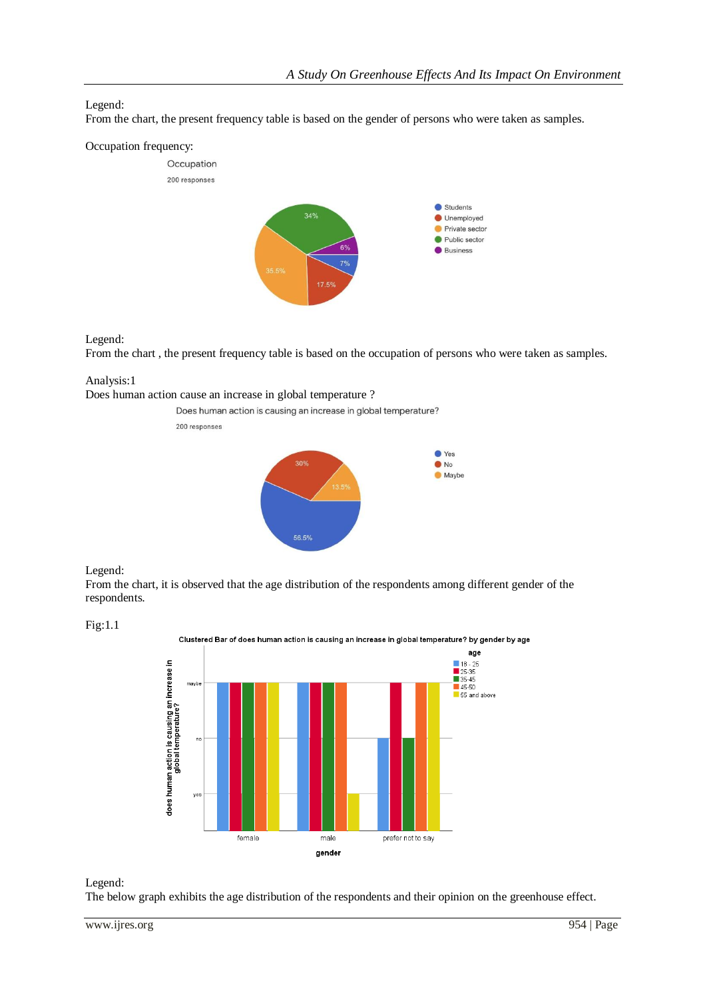# Legend:

From the chart, the present frequency table is based on the gender of persons who were taken as samples.

## Occupation frequency:



## Legend:

From the chart , the present frequency table is based on the occupation of persons who were taken as samples.

# Analysis:1

Does human action cause an increase in global temperature ?



## Legend:

From the chart, it is observed that the age distribution of the respondents among different gender of the respondents.



Clustered Bar of does human action is causing an increase in global temperature? by gender by age



## Legend:

The below graph exhibits the age distribution of the respondents and their opinion on the greenhouse effect.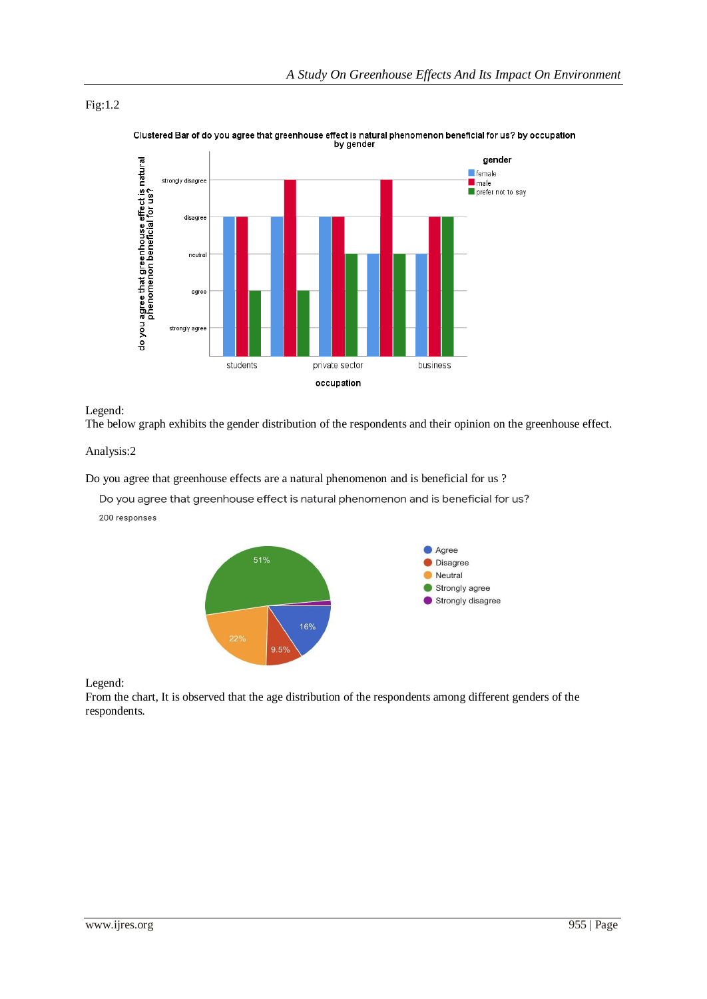## Fig:1.2



Clustered Bar of do you agree that greenhouse effect is natural phenomenon beneficial for us? by occupation<br>by gender

## Legend:

The below graph exhibits the gender distribution of the respondents and their opinion on the greenhouse effect.

## Analysis:2

Do you agree that greenhouse effects are a natural phenomenon and is beneficial for us ?

Do you agree that greenhouse effect is natural phenomenon and is beneficial for us?

200 responses



Legend:

From the chart, It is observed that the age distribution of the respondents among different genders of the respondents.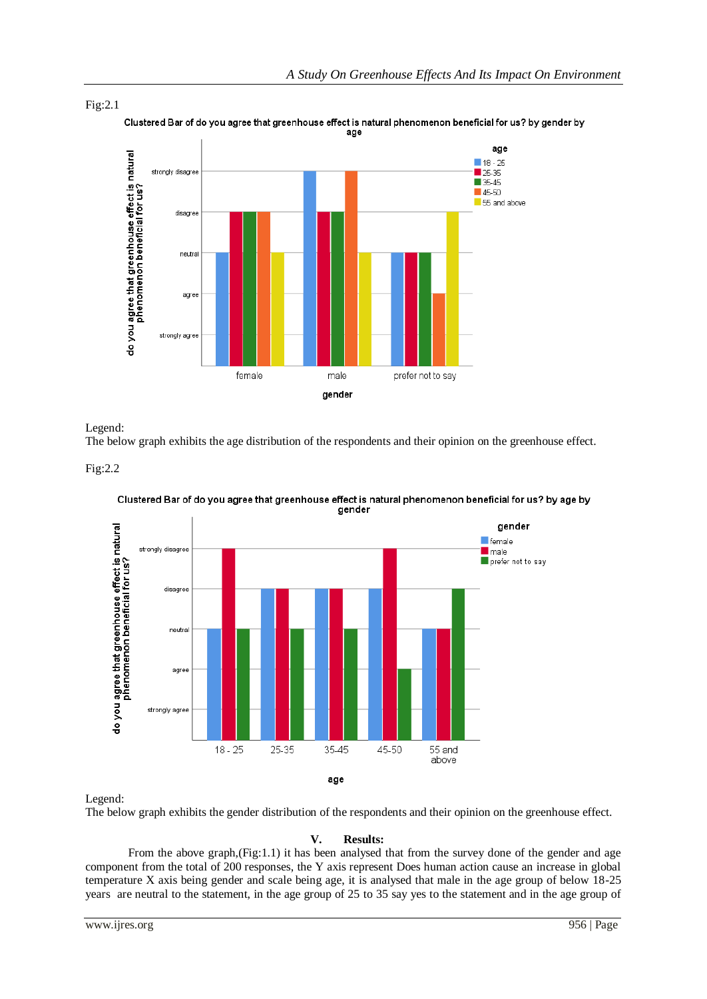

Fig:2.1 Clustered Bar of do you agree that greenhouse effect is natural phenomenon beneficial for us? by gender by age

Legend:

The below graph exhibits the age distribution of the respondents and their opinion on the greenhouse effect.





Clustered Bar of do you agree that greenhouse effect is natural phenomenon beneficial for us? by age by gender

Legend:

The below graph exhibits the gender distribution of the respondents and their opinion on the greenhouse effect.

# **V. Results:**

From the above graph, (Fig:1.1) it has been analysed that from the survey done of the gender and age component from the total of 200 responses, the Y axis represent Does human action cause an increase in global temperature X axis being gender and scale being age, it is analysed that male in the age group of below 18-25 years are neutral to the statement, in the age group of 25 to 35 say yes to the statement and in the age group of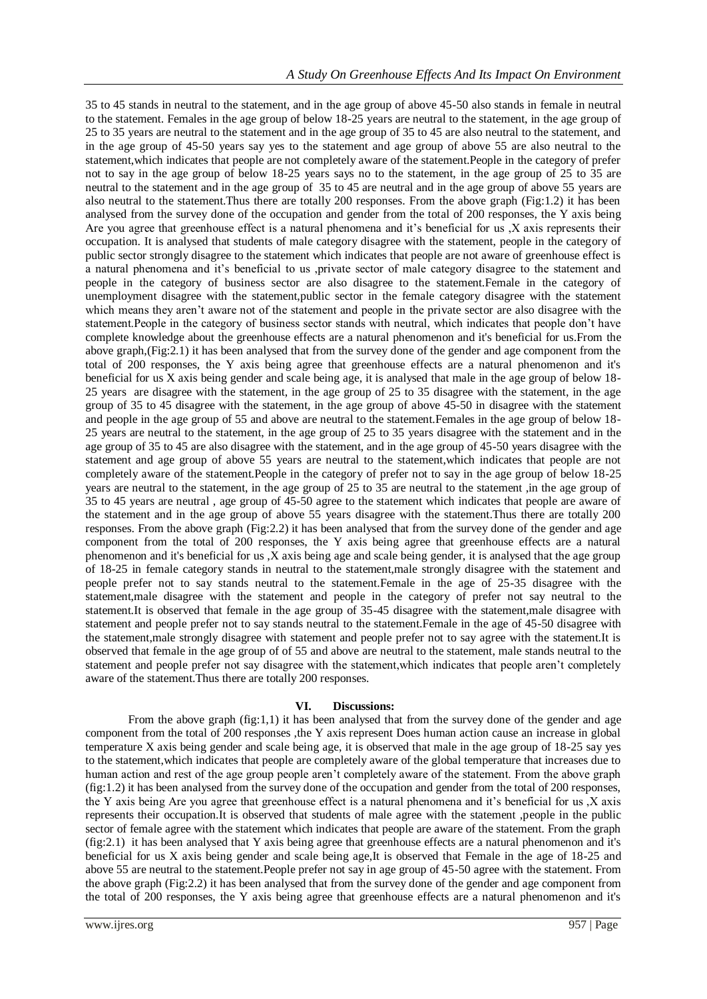35 to 45 stands in neutral to the statement, and in the age group of above 45-50 also stands in female in neutral to the statement. Females in the age group of below 18-25 years are neutral to the statement, in the age group of 25 to 35 years are neutral to the statement and in the age group of 35 to 45 are also neutral to the statement, and in the age group of 45-50 years say yes to the statement and age group of above 55 are also neutral to the statement,which indicates that people are not completely aware of the statement.People in the category of prefer not to say in the age group of below 18-25 years says no to the statement, in the age group of 25 to 35 are neutral to the statement and in the age group of 35 to 45 are neutral and in the age group of above 55 years are also neutral to the statement.Thus there are totally 200 responses. From the above graph (Fig:1.2) it has been analysed from the survey done of the occupation and gender from the total of 200 responses, the Y axis being Are you agree that greenhouse effect is a natural phenomena and it's beneficial for us ,X axis represents their occupation. It is analysed that students of male category disagree with the statement, people in the category of public sector strongly disagree to the statement which indicates that people are not aware of greenhouse effect is a natural phenomena and it's beneficial to us ,private sector of male category disagree to the statement and people in the category of business sector are also disagree to the statement.Female in the category of unemployment disagree with the statement,public sector in the female category disagree with the statement which means they aren't aware not of the statement and people in the private sector are also disagree with the statement.People in the category of business sector stands with neutral, which indicates that people don't have complete knowledge about the greenhouse effects are a natural phenomenon and it's beneficial for us.From the above graph,(Fig:2.1) it has been analysed that from the survey done of the gender and age component from the total of 200 responses, the Y axis being agree that greenhouse effects are a natural phenomenon and it's beneficial for us X axis being gender and scale being age, it is analysed that male in the age group of below 18- 25 years are disagree with the statement, in the age group of 25 to 35 disagree with the statement, in the age group of 35 to 45 disagree with the statement, in the age group of above 45-50 in disagree with the statement and people in the age group of 55 and above are neutral to the statement.Females in the age group of below 18- 25 years are neutral to the statement, in the age group of 25 to 35 years disagree with the statement and in the age group of 35 to 45 are also disagree with the statement, and in the age group of 45-50 years disagree with the statement and age group of above 55 years are neutral to the statement,which indicates that people are not completely aware of the statement.People in the category of prefer not to say in the age group of below 18-25 years are neutral to the statement, in the age group of 25 to 35 are neutral to the statement ,in the age group of 35 to 45 years are neutral , age group of 45-50 agree to the statement which indicates that people are aware of the statement and in the age group of above 55 years disagree with the statement.Thus there are totally 200 responses. From the above graph (Fig:2.2) it has been analysed that from the survey done of the gender and age component from the total of 200 responses, the Y axis being agree that greenhouse effects are a natural phenomenon and it's beneficial for us ,X axis being age and scale being gender, it is analysed that the age group of 18-25 in female category stands in neutral to the statement,male strongly disagree with the statement and people prefer not to say stands neutral to the statement.Female in the age of 25-35 disagree with the statement,male disagree with the statement and people in the category of prefer not say neutral to the statement.It is observed that female in the age group of 35-45 disagree with the statement,male disagree with statement and people prefer not to say stands neutral to the statement.Female in the age of 45-50 disagree with the statement,male strongly disagree with statement and people prefer not to say agree with the statement.It is observed that female in the age group of of 55 and above are neutral to the statement, male stands neutral to the statement and people prefer not say disagree with the statement,which indicates that people aren't completely aware of the statement.Thus there are totally 200 responses.

#### **VI. Discussions:**

From the above graph (fig:1,1) it has been analysed that from the survey done of the gender and age component from the total of 200 responses ,the Y axis represent Does human action cause an increase in global temperature X axis being gender and scale being age, it is observed that male in the age group of 18-25 say yes to the statement,which indicates that people are completely aware of the global temperature that increases due to human action and rest of the age group people aren't completely aware of the statement. From the above graph (fig:1.2) it has been analysed from the survey done of the occupation and gender from the total of 200 responses, the Y axis being Are you agree that greenhouse effect is a natural phenomena and it's beneficial for us ,X axis represents their occupation.It is observed that students of male agree with the statement ,people in the public sector of female agree with the statement which indicates that people are aware of the statement. From the graph (fig:2.1) it has been analysed that Y axis being agree that greenhouse effects are a natural phenomenon and it's beneficial for us X axis being gender and scale being age,It is observed that Female in the age of 18-25 and above 55 are neutral to the statement. People prefer not say in age group of 45-50 agree with the statement. From the above graph (Fig:2.2) it has been analysed that from the survey done of the gender and age component from the total of 200 responses, the Y axis being agree that greenhouse effects are a natural phenomenon and it's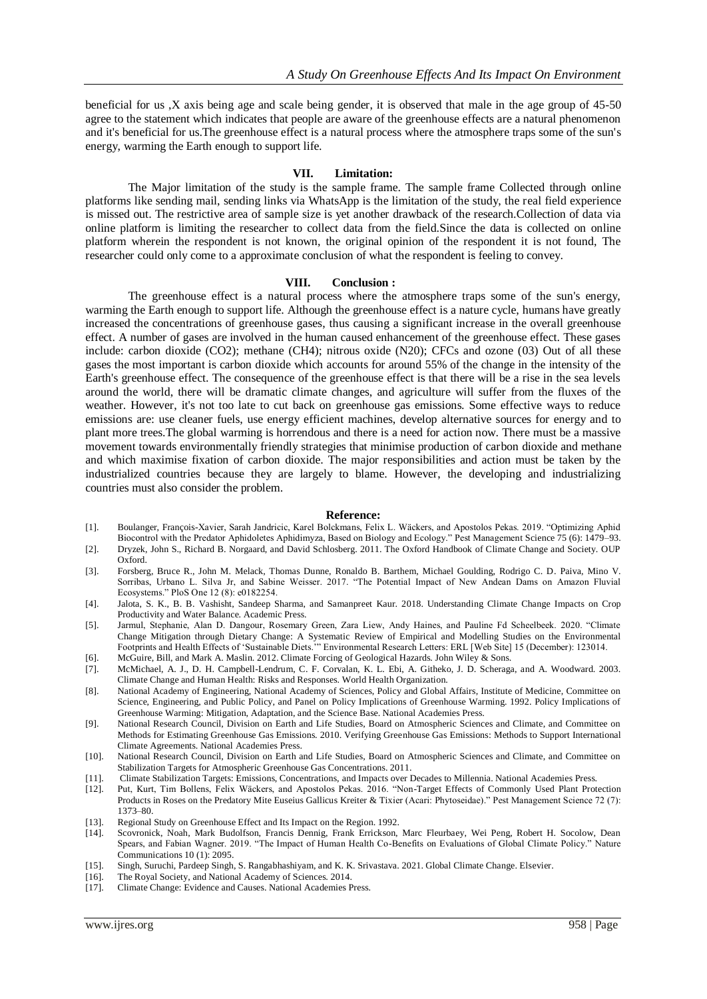beneficial for us ,X axis being age and scale being gender, it is observed that male in the age group of 45-50 agree to the statement which indicates that people are aware of the greenhouse effects are a natural phenomenon and it's beneficial for us.The greenhouse effect is a natural process where the atmosphere traps some of the sun's energy, warming the Earth enough to support life.

#### **VII. Limitation:**

The Major limitation of the study is the sample frame. The sample frame Collected through online platforms like sending mail, sending links via WhatsApp is the limitation of the study, the real field experience is missed out. The restrictive area of sample size is yet another drawback of the research.Collection of data via online platform is limiting the researcher to collect data from the field.Since the data is collected on online platform wherein the respondent is not known, the original opinion of the respondent it is not found, The researcher could only come to a approximate conclusion of what the respondent is feeling to convey.

#### **VIII. Conclusion :**

The greenhouse effect is a natural process where the atmosphere traps some of the sun's energy, warming the Earth enough to support life. Although the greenhouse effect is a nature cycle, humans have greatly increased the concentrations of greenhouse gases, thus causing a significant increase in the overall greenhouse effect. A number of gases are involved in the human caused enhancement of the greenhouse effect. These gases include: carbon dioxide (CO2); methane (CH4); nitrous oxide (N20); CFCs and ozone (03) Out of all these gases the most important is carbon dioxide which accounts for around 55% of the change in the intensity of the Earth's greenhouse effect. The consequence of the greenhouse effect is that there will be a rise in the sea levels around the world, there will be dramatic climate changes, and agriculture will suffer from the fluxes of the weather. However, it's not too late to cut back on greenhouse gas emissions. Some effective ways to reduce emissions are: use cleaner fuels, use energy efficient machines, develop alternative sources for energy and to plant more trees.The global warming is horrendous and there is a need for action now. There must be a massive movement towards environmentally friendly strategies that minimise production of carbon dioxide and methane and which maximise fixation of carbon dioxide. The major responsibilities and action must be taken by the industrialized countries because they are largely to blame. However, the developing and industrializing countries must also consider the problem.

#### **Reference:**

- [1]. Boulanger, François-Xavier, Sarah Jandricic, Karel Bolckmans, Felix L. Wäckers, and Apostolos Pekas. 2019. "Optimizing Aphid Biocontrol with the Predator Aphidoletes Aphidimyza, Based on Biology and Ecology." Pest Management Science 75 (6): 1479–93.
- [2]. Dryzek, John S., Richard B. Norgaard, and David Schlosberg. 2011. The Oxford Handbook of Climate Change and Society. OUP Oxford.
- [3]. Forsberg, Bruce R., John M. Melack, Thomas Dunne, Ronaldo B. Barthem, Michael Goulding, Rodrigo C. D. Paiva, Mino V. Sorribas, Urbano L. Silva Jr, and Sabine Weisser. 2017. "The Potential Impact of New Andean Dams on Amazon Fluvial Ecosystems." PloS One 12 (8): e0182254.
- [4]. Jalota, S. K., B. B. Vashisht, Sandeep Sharma, and Samanpreet Kaur. 2018. Understanding Climate Change Impacts on Crop Productivity and Water Balance. Academic Press.
- [5]. Jarmul, Stephanie, Alan D. Dangour, Rosemary Green, Zara Liew, Andy Haines, and Pauline Fd Scheelbeek. 2020. "Climate Change Mitigation through Dietary Change: A Systematic Review of Empirical and Modelling Studies on the Environmental Footprints and Health Effects of 'Sustainable Diets.'" Environmental Research Letters: ERL [Web Site] 15 (December): 123014.
- [6]. McGuire, Bill, and Mark A. Maslin. 2012. Climate Forcing of Geological Hazards. John Wiley & Sons. [7]. McMichael, A. J., D. H. Campbell-Lendrum, C. F. Corvalan, K. L. Ebi, A. Githeko, J. D. Scheraga, and A. Woodward. 2003.
- Climate Change and Human Health: Risks and Responses. World Health Organization.
- [8]. National Academy of Engineering, National Academy of Sciences, Policy and Global Affairs, Institute of Medicine, Committee on Science, Engineering, and Public Policy, and Panel on Policy Implications of Greenhouse Warming. 1992. Policy Implications of Greenhouse Warming: Mitigation, Adaptation, and the Science Base. National Academies Press.
- [9]. National Research Council, Division on Earth and Life Studies, Board on Atmospheric Sciences and Climate, and Committee on Methods for Estimating Greenhouse Gas Emissions. 2010. Verifying Greenhouse Gas Emissions: Methods to Support International Climate Agreements. National Academies Press.
- [10]. National Research Council, Division on Earth and Life Studies, Board on Atmospheric Sciences and Climate, and Committee on Stabilization Targets for Atmospheric Greenhouse Gas Concentrations. 2011.
- [11]. Climate Stabilization Targets: Emissions, Concentrations, and Impacts over Decades to Millennia. National Academies Press.
- [12]. Put, Kurt, Tim Bollens, Felix Wäckers, and Apostolos Pekas. 2016. "Non-Target Effects of Commonly Used Plant Protection Products in Roses on the Predatory Mite Euseius Gallicus Kreiter & Tixier (Acari: Phytoseidae)." Pest Management Science 72 (7): 1373–80.
- [13]. Regional Study on Greenhouse Effect and Its Impact on the Region. 1992.
- [14]. Scovronick, Noah, Mark Budolfson, Francis Dennig, Frank Errickson, Marc Fleurbaey, Wei Peng, Robert H. Socolow, Dean Spears, and Fabian Wagner. 2019. "The Impact of Human Health Co-Benefits on Evaluations of Global Climate Policy." Nature Communications 10 (1): 2095.
- [15]. Singh, Suruchi, Pardeep Singh, S. Rangabhashiyam, and K. K. Srivastava. 2021. Global Climate Change. Elsevier.<br>[16]. The Roval Society. and National Academy of Sciences. 2014.
- The Royal Society, and National Academy of Sciences. 2014.
- [17]. Climate Change: Evidence and Causes. National Academies Press.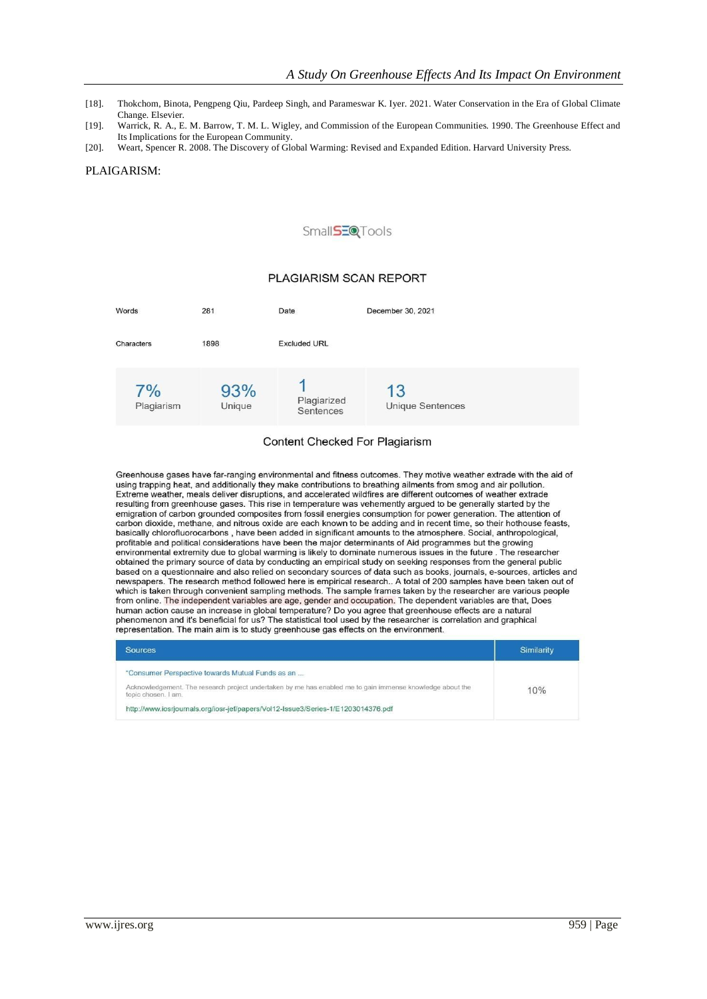- [18]. Thokchom, Binota, Pengpeng Qiu, Pardeep Singh, and Parameswar K. Iyer. 2021. Water Conservation in the Era of Global Climate Change. Elsevier.
- [19]. Warrick, R. A., E. M. Barrow, T. M. L. Wigley, and Commission of the European Communities. 1990. The Greenhouse Effect and Its Implications for the European Community.
- [20]. Weart, Spencer R. 2008. The Discovery of Global Warming: Revised and Expanded Edition. Harvard University Press.

#### PLAIGARISM:

#### Small**SEQ**Tools

#### PLAGIARISM SCAN REPORT

| Words            | 281           | Date                          | December 30, 2021             |
|------------------|---------------|-------------------------------|-------------------------------|
| Characters       | 1898          | <b>Excluded URL</b>           |                               |
| 7%<br>Plagiarism | 93%<br>Unique | ×<br>Plagiarized<br>Sentences | 13<br><b>Unique Sentences</b> |

## **Content Checked For Plagiarism**

Greenhouse gases have far-ranging environmental and fitness outcomes. They motive weather extrade with the aid of using trapping heat, and additionally they make contributions to breathing ailments from smog and air pollution. Extreme weather, meals deliver disruptions, and accelerated wildfires are different outcomes of weather extrade resulting from greenhouse gases. This rise in temperature was vehemently argued to be generally started by the emigration of carbon grounded composites from fossil energies consumption for power generation. The attention of carbon dioxide, methane, and nitrous oxide are each known to be adding and in recent time, so their hothouse feasts, basically chlorofluorocarbons, have been added in significant amounts to the atmosphere. Social, anthropological, profitable and political considerations have been the major determinants of Aid programmes but the growing environmental extremity due to global warming is likely to dominate numerous issues in the future . The researcher obtained the primary source of data by conducting an empirical study on seeking responses from the general public based on a questionnaire and also relied on secondary sources of data such as books, journals, e-sources, articles and newspapers. The research method followed here is empirical research.. A total of 200 samples have been taken out of increased in the state in the sampling methods. The sample frames taken by the researcher are various people<br>from online. The independent variables are age, gender and occupation. The dependent variables are that, Does from online. The independent variables are age, gender and occupation. The dependent variables are that, the second temperature? Do you agree that greenhouse effects are a natural<br>hamma cition cause an increase in global t phenomenon and it's beneficial for us? The statistical tool used by the researcher is correlation and graphical representation. The main aim is to study greenhouse gas effects on the environment.

| <b>Sources</b>                                                                                                                   | Similarity |
|----------------------------------------------------------------------------------------------------------------------------------|------------|
| "Consumer Perspective towards Mutual Funds as an                                                                                 |            |
| Acknowledgement. The research project undertaken by me has enabled me to gain immense knowledge about the<br>topic chosen. I am. | 10%        |
| http://www.iosrjournals.org/iosr-jef/papers/Vol12-Issue3/Series-1/E1203014376.pdf                                                |            |